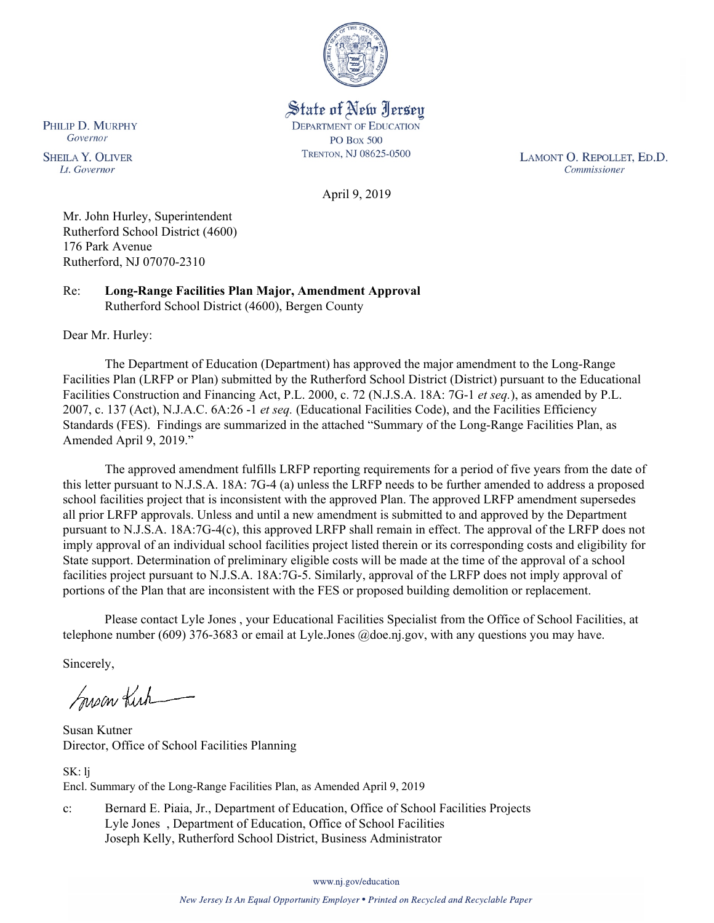

State of New Jersey **DEPARTMENT OF EDUCATION PO Box 500** TRENTON, NJ 08625-0500

LAMONT O. REPOLLET, ED.D. Commissioner

April 9, 2019

Mr. John Hurley, Superintendent Rutherford School District (4600) 176 Park Avenue Rutherford, NJ 07070-2310

Re: **Long-Range Facilities Plan Major, Amendment Approval** Rutherford School District (4600), Bergen County

Dear Mr. Hurley:

PHILIP D. MURPHY Governor

**SHEILA Y. OLIVER** 

Lt. Governor

The Department of Education (Department) has approved the major amendment to the Long-Range Facilities Plan (LRFP or Plan) submitted by the Rutherford School District (District) pursuant to the Educational Facilities Construction and Financing Act, P.L. 2000, c. 72 (N.J.S.A. 18A: 7G-1 *et seq.*), as amended by P.L. 2007, c. 137 (Act), N.J.A.C. 6A:26 -1 *et seq.* (Educational Facilities Code), and the Facilities Efficiency Standards (FES). Findings are summarized in the attached "Summary of the Long-Range Facilities Plan, as Amended April 9, 2019."

The approved amendment fulfills LRFP reporting requirements for a period of five years from the date of this letter pursuant to N.J.S.A. 18A: 7G-4 (a) unless the LRFP needs to be further amended to address a proposed school facilities project that is inconsistent with the approved Plan. The approved LRFP amendment supersedes all prior LRFP approvals. Unless and until a new amendment is submitted to and approved by the Department pursuant to N.J.S.A. 18A:7G-4(c), this approved LRFP shall remain in effect. The approval of the LRFP does not imply approval of an individual school facilities project listed therein or its corresponding costs and eligibility for State support. Determination of preliminary eligible costs will be made at the time of the approval of a school facilities project pursuant to N.J.S.A. 18A:7G-5. Similarly, approval of the LRFP does not imply approval of portions of the Plan that are inconsistent with the FES or proposed building demolition or replacement.

Please contact Lyle Jones , your Educational Facilities Specialist from the Office of School Facilities, at telephone number (609) 376-3683 or email at Lyle.Jones @doe.nj.gov, with any questions you may have.

Sincerely,

Susan Kich

Susan Kutner Director, Office of School Facilities Planning

SK: lj Encl. Summary of the Long-Range Facilities Plan, as Amended April 9, 2019

c: Bernard E. Piaia, Jr., Department of Education, Office of School Facilities Projects Lyle Jones , Department of Education, Office of School Facilities Joseph Kelly, Rutherford School District, Business Administrator

www.nj.gov/education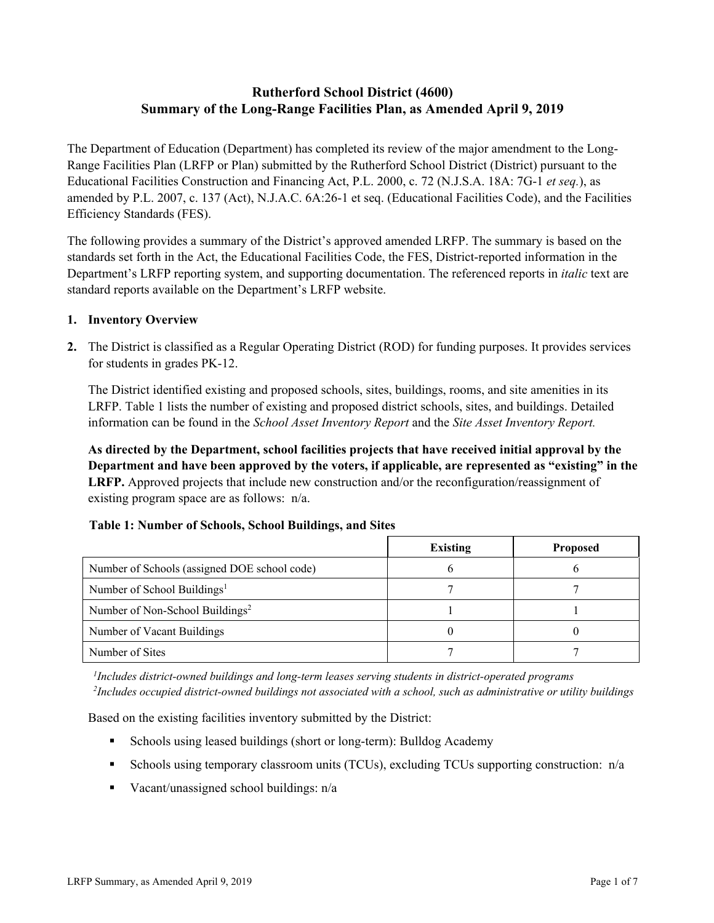# **Rutherford School District (4600) Summary of the Long-Range Facilities Plan, as Amended April 9, 2019**

The Department of Education (Department) has completed its review of the major amendment to the Long-Range Facilities Plan (LRFP or Plan) submitted by the Rutherford School District (District) pursuant to the Educational Facilities Construction and Financing Act, P.L. 2000, c. 72 (N.J.S.A. 18A: 7G-1 *et seq.*), as amended by P.L. 2007, c. 137 (Act), N.J.A.C. 6A:26-1 et seq. (Educational Facilities Code), and the Facilities Efficiency Standards (FES).

The following provides a summary of the District's approved amended LRFP. The summary is based on the standards set forth in the Act, the Educational Facilities Code, the FES, District-reported information in the Department's LRFP reporting system, and supporting documentation. The referenced reports in *italic* text are standard reports available on the Department's LRFP website.

### **1. Inventory Overview**

**2.** The District is classified as a Regular Operating District (ROD) for funding purposes. It provides services for students in grades PK-12.

The District identified existing and proposed schools, sites, buildings, rooms, and site amenities in its LRFP. Table 1 lists the number of existing and proposed district schools, sites, and buildings. Detailed information can be found in the *School Asset Inventory Report* and the *Site Asset Inventory Report.*

**As directed by the Department, school facilities projects that have received initial approval by the Department and have been approved by the voters, if applicable, are represented as "existing" in the LRFP.** Approved projects that include new construction and/or the reconfiguration/reassignment of existing program space are as follows: n/a.

|                                              | <b>Existing</b> | <b>Proposed</b> |
|----------------------------------------------|-----------------|-----------------|
| Number of Schools (assigned DOE school code) |                 |                 |
| Number of School Buildings <sup>1</sup>      |                 |                 |
| Number of Non-School Buildings <sup>2</sup>  |                 |                 |
| Number of Vacant Buildings                   |                 |                 |
| Number of Sites                              |                 |                 |

# **Table 1: Number of Schools, School Buildings, and Sites**

*1 Includes district-owned buildings and long-term leases serving students in district-operated programs 2 Includes occupied district-owned buildings not associated with a school, such as administrative or utility buildings*

Based on the existing facilities inventory submitted by the District:

- Schools using leased buildings (short or long-term): Bulldog Academy
- Schools using temporary classroom units (TCUs), excluding TCUs supporting construction:  $n/a$
- Vacant/unassigned school buildings:  $n/a$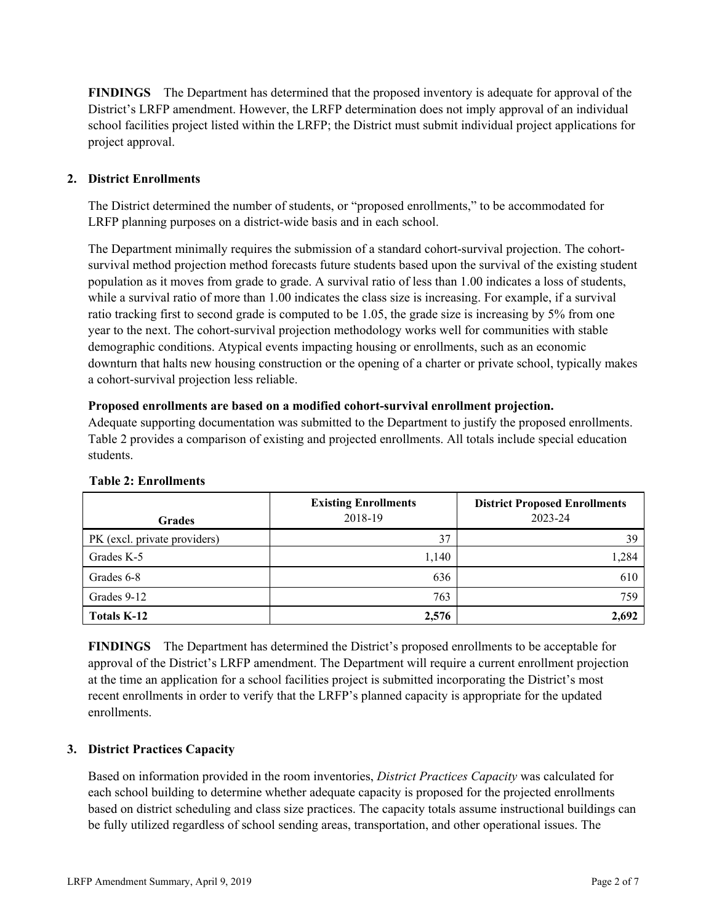**FINDINGS** The Department has determined that the proposed inventory is adequate for approval of the District's LRFP amendment. However, the LRFP determination does not imply approval of an individual school facilities project listed within the LRFP; the District must submit individual project applications for project approval.

# **2. District Enrollments**

The District determined the number of students, or "proposed enrollments," to be accommodated for LRFP planning purposes on a district-wide basis and in each school.

The Department minimally requires the submission of a standard cohort-survival projection. The cohortsurvival method projection method forecasts future students based upon the survival of the existing student population as it moves from grade to grade. A survival ratio of less than 1.00 indicates a loss of students, while a survival ratio of more than 1.00 indicates the class size is increasing. For example, if a survival ratio tracking first to second grade is computed to be 1.05, the grade size is increasing by 5% from one year to the next. The cohort-survival projection methodology works well for communities with stable demographic conditions. Atypical events impacting housing or enrollments, such as an economic downturn that halts new housing construction or the opening of a charter or private school, typically makes a cohort-survival projection less reliable.

#### **Proposed enrollments are based on a modified cohort-survival enrollment projection.**

Adequate supporting documentation was submitted to the Department to justify the proposed enrollments. Table 2 provides a comparison of existing and projected enrollments. All totals include special education students.

| <b>Grades</b>                | <b>Existing Enrollments</b><br>2018-19 | <b>District Proposed Enrollments</b><br>2023-24 |
|------------------------------|----------------------------------------|-------------------------------------------------|
| PK (excl. private providers) | 37                                     | 39                                              |
| Grades K-5                   | 1,140                                  | 1,284                                           |
| Grades 6-8                   | 636                                    | 610                                             |
| Grades 9-12                  | 763                                    | 759                                             |
| Totals K-12                  | 2,576                                  | 2,692                                           |

#### **Table 2: Enrollments**

**FINDINGS** The Department has determined the District's proposed enrollments to be acceptable for approval of the District's LRFP amendment. The Department will require a current enrollment projection at the time an application for a school facilities project is submitted incorporating the District's most recent enrollments in order to verify that the LRFP's planned capacity is appropriate for the updated enrollments.

# **3. District Practices Capacity**

Based on information provided in the room inventories, *District Practices Capacity* was calculated for each school building to determine whether adequate capacity is proposed for the projected enrollments based on district scheduling and class size practices. The capacity totals assume instructional buildings can be fully utilized regardless of school sending areas, transportation, and other operational issues. The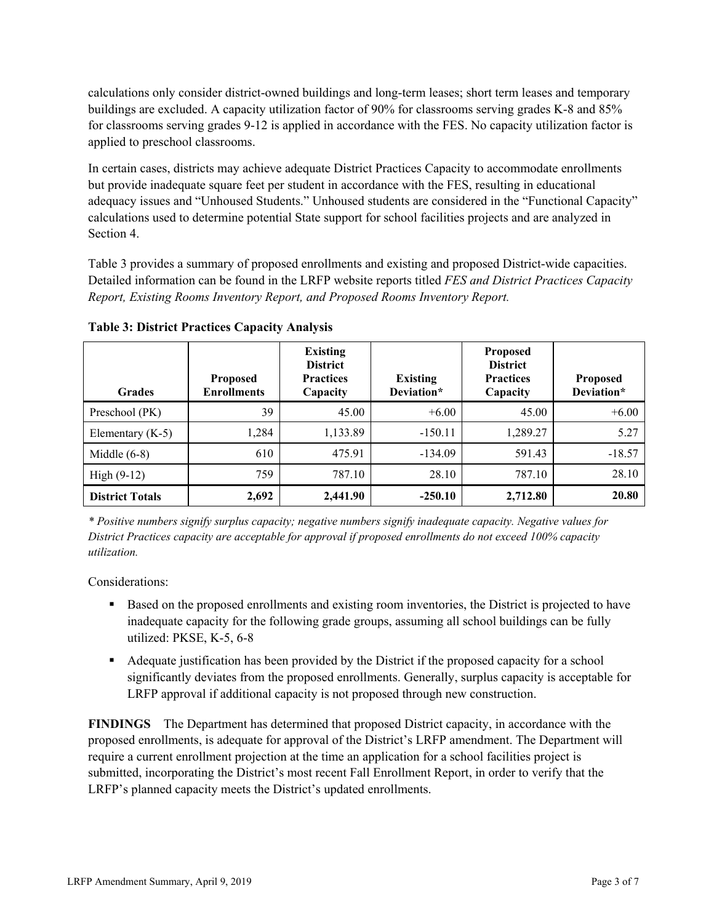calculations only consider district-owned buildings and long-term leases; short term leases and temporary buildings are excluded. A capacity utilization factor of 90% for classrooms serving grades K-8 and 85% for classrooms serving grades 9-12 is applied in accordance with the FES. No capacity utilization factor is applied to preschool classrooms.

In certain cases, districts may achieve adequate District Practices Capacity to accommodate enrollments but provide inadequate square feet per student in accordance with the FES, resulting in educational adequacy issues and "Unhoused Students." Unhoused students are considered in the "Functional Capacity" calculations used to determine potential State support for school facilities projects and are analyzed in Section 4.

Table 3 provides a summary of proposed enrollments and existing and proposed District-wide capacities. Detailed information can be found in the LRFP website reports titled *FES and District Practices Capacity Report, Existing Rooms Inventory Report, and Proposed Rooms Inventory Report.*

| <b>Grades</b>          | <b>Proposed</b><br><b>Enrollments</b> | <b>Existing</b><br><b>District</b><br><b>Practices</b><br>Capacity | <b>Existing</b><br>Deviation* | <b>Proposed</b><br><b>District</b><br><b>Practices</b><br>Capacity | <b>Proposed</b><br>Deviation* |
|------------------------|---------------------------------------|--------------------------------------------------------------------|-------------------------------|--------------------------------------------------------------------|-------------------------------|
| Preschool (PK)         | 39                                    | 45.00                                                              | $+6.00$                       | 45.00                                                              | $+6.00$                       |
| Elementary $(K-5)$     | 1,284                                 | 1,133.89                                                           | $-150.11$                     | 1,289.27                                                           | 5.27                          |
| Middle $(6-8)$         | 610                                   | 475.91                                                             | $-134.09$                     | 591.43                                                             | $-18.57$                      |
| $High (9-12)$          | 759                                   | 787.10                                                             | 28.10                         | 787.10                                                             | 28.10                         |
| <b>District Totals</b> | 2,692                                 | 2,441.90                                                           | $-250.10$                     | 2,712.80                                                           | 20.80                         |

**Table 3: District Practices Capacity Analysis**

*\* Positive numbers signify surplus capacity; negative numbers signify inadequate capacity. Negative values for District Practices capacity are acceptable for approval if proposed enrollments do not exceed 100% capacity utilization.*

Considerations:

- Based on the proposed enrollments and existing room inventories, the District is projected to have inadequate capacity for the following grade groups, assuming all school buildings can be fully utilized: PKSE, K-5, 6-8
- Adequate justification has been provided by the District if the proposed capacity for a school significantly deviates from the proposed enrollments. Generally, surplus capacity is acceptable for LRFP approval if additional capacity is not proposed through new construction.

**FINDINGS**The Department has determined that proposed District capacity, in accordance with the proposed enrollments, is adequate for approval of the District's LRFP amendment. The Department will require a current enrollment projection at the time an application for a school facilities project is submitted, incorporating the District's most recent Fall Enrollment Report, in order to verify that the LRFP's planned capacity meets the District's updated enrollments.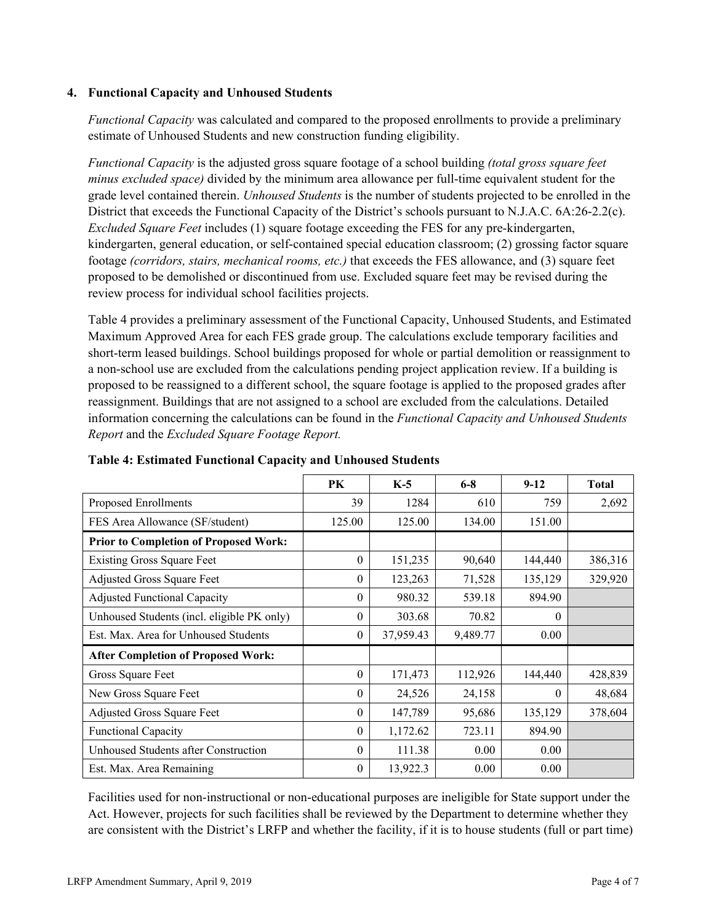### **4. Functional Capacity and Unhoused Students**

*Functional Capacity* was calculated and compared to the proposed enrollments to provide a preliminary estimate of Unhoused Students and new construction funding eligibility.

*Functional Capacity* is the adjusted gross square footage of a school building *(total gross square feet minus excluded space)* divided by the minimum area allowance per full-time equivalent student for the grade level contained therein. *Unhoused Students* is the number of students projected to be enrolled in the District that exceeds the Functional Capacity of the District's schools pursuant to N.J.A.C. 6A:26-2.2(c). *Excluded Square Feet* includes (1) square footage exceeding the FES for any pre-kindergarten, kindergarten, general education, or self-contained special education classroom; (2) grossing factor square footage *(corridors, stairs, mechanical rooms, etc.)* that exceeds the FES allowance, and (3) square feet proposed to be demolished or discontinued from use. Excluded square feet may be revised during the review process for individual school facilities projects.

Table 4 provides a preliminary assessment of the Functional Capacity, Unhoused Students, and Estimated Maximum Approved Area for each FES grade group. The calculations exclude temporary facilities and short-term leased buildings. School buildings proposed for whole or partial demolition or reassignment to a non-school use are excluded from the calculations pending project application review. If a building is proposed to be reassigned to a different school, the square footage is applied to the proposed grades after reassignment. Buildings that are not assigned to a school are excluded from the calculations. Detailed information concerning the calculations can be found in the *Functional Capacity and Unhoused Students Report* and the *Excluded Square Footage Report.*

|                                              | PK       | $K-5$     | $6 - 8$  | $9 - 12$ | <b>Total</b> |
|----------------------------------------------|----------|-----------|----------|----------|--------------|
| Proposed Enrollments                         | 39       | 1284      | 610      | 759      | 2,692        |
| FES Area Allowance (SF/student)              | 125.00   | 125.00    | 134.00   | 151.00   |              |
| <b>Prior to Completion of Proposed Work:</b> |          |           |          |          |              |
| <b>Existing Gross Square Feet</b>            | $\theta$ | 151,235   | 90,640   | 144,440  | 386,316      |
| Adjusted Gross Square Feet                   | $\theta$ | 123,263   | 71,528   | 135,129  | 329,920      |
| <b>Adjusted Functional Capacity</b>          | $\theta$ | 980.32    | 539.18   | 894.90   |              |
| Unhoused Students (incl. eligible PK only)   | $\theta$ | 303.68    | 70.82    | $\theta$ |              |
| Est. Max. Area for Unhoused Students         | $\theta$ | 37,959.43 | 9,489.77 | 0.00     |              |
| <b>After Completion of Proposed Work:</b>    |          |           |          |          |              |
| Gross Square Feet                            | $\theta$ | 171,473   | 112,926  | 144,440  | 428,839      |
| New Gross Square Feet                        | $\Omega$ | 24,526    | 24,158   | $\Omega$ | 48,684       |
| Adjusted Gross Square Feet                   | $\theta$ | 147,789   | 95,686   | 135,129  | 378,604      |
| <b>Functional Capacity</b>                   | $\theta$ | 1,172.62  | 723.11   | 894.90   |              |
| Unhoused Students after Construction         | $\theta$ | 111.38    | 0.00     | 0.00     |              |
| Est. Max. Area Remaining                     | $\theta$ | 13,922.3  | 0.00     | 0.00     |              |

**Table 4: Estimated Functional Capacity and Unhoused Students** 

Facilities used for non-instructional or non-educational purposes are ineligible for State support under the Act. However, projects for such facilities shall be reviewed by the Department to determine whether they are consistent with the District's LRFP and whether the facility, if it is to house students (full or part time)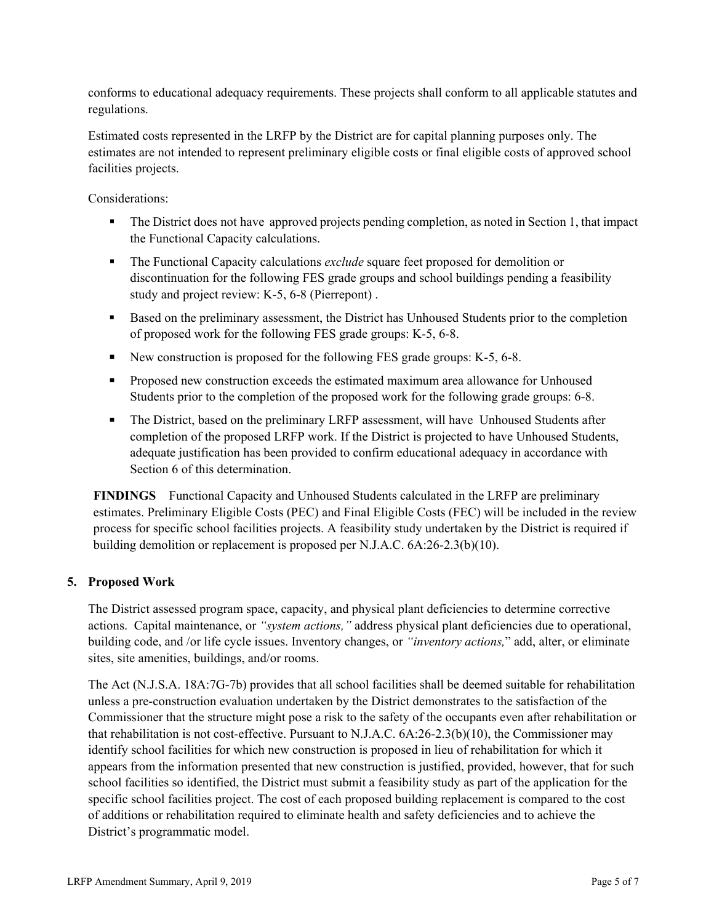conforms to educational adequacy requirements. These projects shall conform to all applicable statutes and regulations.

Estimated costs represented in the LRFP by the District are for capital planning purposes only. The estimates are not intended to represent preliminary eligible costs or final eligible costs of approved school facilities projects.

Considerations:

- The District does not have approved projects pending completion, as noted in Section 1, that impact the Functional Capacity calculations.
- **The Functional Capacity calculations** *exclude* square feet proposed for demolition or discontinuation for the following FES grade groups and school buildings pending a feasibility study and project review: K-5, 6-8 (Pierrepont) .
- Based on the preliminary assessment, the District has Unhoused Students prior to the completion of proposed work for the following FES grade groups: K-5, 6-8.
- New construction is proposed for the following FES grade groups: K-5, 6-8.
- **Proposed new construction exceeds the estimated maximum area allowance for Unhoused** Students prior to the completion of the proposed work for the following grade groups: 6-8.
- The District, based on the preliminary LRFP assessment, will have Unhoused Students after completion of the proposed LRFP work. If the District is projected to have Unhoused Students, adequate justification has been provided to confirm educational adequacy in accordance with Section 6 of this determination.

**FINDINGS** Functional Capacity and Unhoused Students calculated in the LRFP are preliminary estimates. Preliminary Eligible Costs (PEC) and Final Eligible Costs (FEC) will be included in the review process for specific school facilities projects. A feasibility study undertaken by the District is required if building demolition or replacement is proposed per N.J.A.C. 6A:26-2.3(b)(10).

# **5. Proposed Work**

The District assessed program space, capacity, and physical plant deficiencies to determine corrective actions. Capital maintenance, or *"system actions,"* address physical plant deficiencies due to operational, building code, and /or life cycle issues. Inventory changes, or *"inventory actions,*" add, alter, or eliminate sites, site amenities, buildings, and/or rooms.

The Act (N.J.S.A. 18A:7G-7b) provides that all school facilities shall be deemed suitable for rehabilitation unless a pre-construction evaluation undertaken by the District demonstrates to the satisfaction of the Commissioner that the structure might pose a risk to the safety of the occupants even after rehabilitation or that rehabilitation is not cost-effective. Pursuant to N.J.A.C. 6A:26-2.3(b)(10), the Commissioner may identify school facilities for which new construction is proposed in lieu of rehabilitation for which it appears from the information presented that new construction is justified, provided, however, that for such school facilities so identified, the District must submit a feasibility study as part of the application for the specific school facilities project. The cost of each proposed building replacement is compared to the cost of additions or rehabilitation required to eliminate health and safety deficiencies and to achieve the District's programmatic model.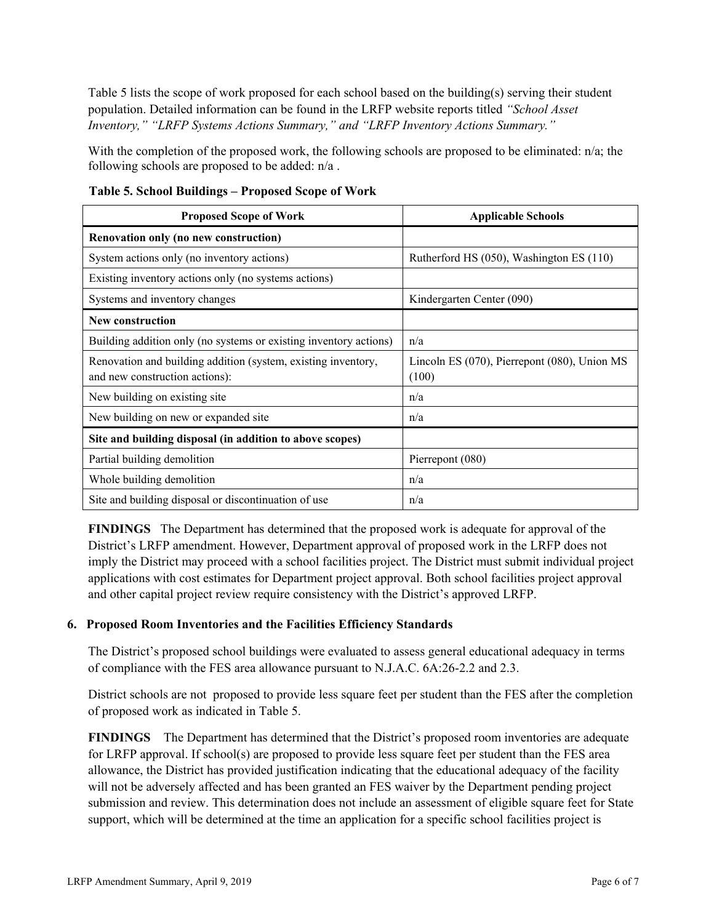Table 5 lists the scope of work proposed for each school based on the building(s) serving their student population. Detailed information can be found in the LRFP website reports titled *"School Asset Inventory," "LRFP Systems Actions Summary," and "LRFP Inventory Actions Summary."*

With the completion of the proposed work, the following schools are proposed to be eliminated: n/a; the following schools are proposed to be added: n/a .

| <b>Proposed Scope of Work</b>                                                                   | <b>Applicable Schools</b>                                   |
|-------------------------------------------------------------------------------------------------|-------------------------------------------------------------|
| Renovation only (no new construction)                                                           |                                                             |
| System actions only (no inventory actions)                                                      | Rutherford HS (050), Washington ES (110)                    |
| Existing inventory actions only (no systems actions)                                            |                                                             |
| Systems and inventory changes                                                                   | Kindergarten Center (090)                                   |
| New construction                                                                                |                                                             |
| Building addition only (no systems or existing inventory actions)                               | n/a                                                         |
| Renovation and building addition (system, existing inventory,<br>and new construction actions): | Lincoln ES $(070)$ , Pierrepont $(080)$ , Union MS<br>(100) |
| New building on existing site                                                                   | n/a                                                         |
| New building on new or expanded site                                                            | n/a                                                         |
| Site and building disposal (in addition to above scopes)                                        |                                                             |
| Partial building demolition                                                                     | Pierrepont (080)                                            |
| Whole building demolition                                                                       | n/a                                                         |
| Site and building disposal or discontinuation of use                                            | n/a                                                         |

**Table 5. School Buildings – Proposed Scope of Work**

**FINDINGS** The Department has determined that the proposed work is adequate for approval of the District's LRFP amendment. However, Department approval of proposed work in the LRFP does not imply the District may proceed with a school facilities project. The District must submit individual project applications with cost estimates for Department project approval. Both school facilities project approval and other capital project review require consistency with the District's approved LRFP.

# **6. Proposed Room Inventories and the Facilities Efficiency Standards**

The District's proposed school buildings were evaluated to assess general educational adequacy in terms of compliance with the FES area allowance pursuant to N.J.A.C. 6A:26-2.2 and 2.3.

District schools are not proposed to provide less square feet per student than the FES after the completion of proposed work as indicated in Table 5.

**FINDINGS** The Department has determined that the District's proposed room inventories are adequate for LRFP approval. If school(s) are proposed to provide less square feet per student than the FES area allowance, the District has provided justification indicating that the educational adequacy of the facility will not be adversely affected and has been granted an FES waiver by the Department pending project submission and review. This determination does not include an assessment of eligible square feet for State support, which will be determined at the time an application for a specific school facilities project is